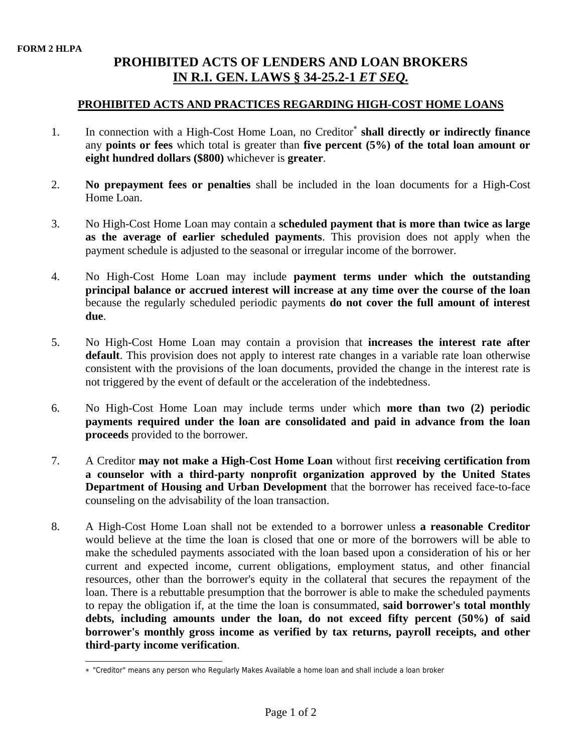## **PROHIBITED ACTS OF LENDERS AND LOAN BROKERS IN R.I. GEN. LAWS § 34-25.2-1** *ET SEQ.*

## **PROHIBITED ACTS AND PRACTICES REGARDING HIGH-COST HOME LOANS**

- 1. In connection with a High-Cost Home Loan, no Creditor<sup>∗</sup> **shall directly or indirectly finance** any **points or fees** which total is greater than **five percent (5%) of the total loan amount or eight hundred dollars (\$800)** whichever is **greater**.
- 2. **No prepayment fees or penalties** shall be included in the loan documents for a High-Cost Home Loan.
- 3. No High-Cost Home Loan may contain a **scheduled payment that is more than twice as large as the average of earlier scheduled payments**. This provision does not apply when the payment schedule is adjusted to the seasonal or irregular income of the borrower.
- 4. No High-Cost Home Loan may include **payment terms under which the outstanding principal balance or accrued interest will increase at any time over the course of the loan** because the regularly scheduled periodic payments **do not cover the full amount of interest due**.
- 5. No High-Cost Home Loan may contain a provision that **increases the interest rate after default**. This provision does not apply to interest rate changes in a variable rate loan otherwise consistent with the provisions of the loan documents, provided the change in the interest rate is not triggered by the event of default or the acceleration of the indebtedness.
- 6. No High-Cost Home Loan may include terms under which **more than two (2) periodic payments required under the loan are consolidated and paid in advance from the loan proceeds** provided to the borrower.
- 7. A Creditor **may not make a High-Cost Home Loan** without first **receiving certification from a counselor with a third-party nonprofit organization approved by the United States Department of Housing and Urban Development** that the borrower has received face-to-face counseling on the advisability of the loan transaction.
- 8. A High-Cost Home Loan shall not be extended to a borrower unless **a reasonable Creditor** would believe at the time the loan is closed that one or more of the borrowers will be able to make the scheduled payments associated with the loan based upon a consideration of his or her current and expected income, current obligations, employment status, and other financial resources, other than the borrower's equity in the collateral that secures the repayment of the loan. There is a rebuttable presumption that the borrower is able to make the scheduled payments to repay the obligation if, at the time the loan is consummated, **said borrower's total monthly debts, including amounts under the loan, do not exceed fifty percent (50%) of said borrower's monthly gross income as verified by tax returns, payroll receipts, and other third-party income verification**.

 $\overline{a}$ ∗ "Creditor" means any person who Regularly Makes Available a home loan and shall include a loan broker